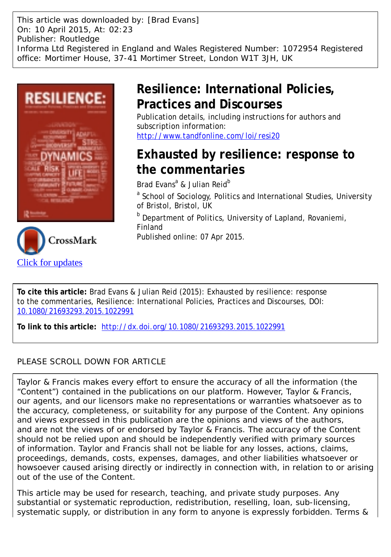This article was downloaded by: [Brad Evans] On: 10 April 2015, At: 02:23 Publisher: Routledge Informa Ltd Registered in England and Wales Registered Number: 1072954 Registered office: Mortimer House, 37-41 Mortimer Street, London W1T 3JH, UK





# **Resilience: International Policies, Practices and Discourses**

Publication details, including instructions for authors and subscription information: <http://www.tandfonline.com/loi/resi20>

# **Exhausted by resilience: response to the commentaries**

Brad Evans<sup>a</sup> & Julian Reid<sup>b</sup>

<sup>a</sup> School of Sociology, Politics and International Studies, University of Bristol, Bristol, UK

**b** Department of Politics, University of Lapland, Rovaniemi, Finland

Published online: 07 Apr 2015.

**To cite this article:** Brad Evans & Julian Reid (2015): Exhausted by resilience: response to the commentaries, Resilience: International Policies, Practices and Discourses, DOI: [10.1080/21693293.2015.1022991](http://www.tandfonline.com/action/showCitFormats?doi=10.1080/21693293.2015.1022991)

**To link to this article:** <http://dx.doi.org/10.1080/21693293.2015.1022991>

## PLEASE SCROLL DOWN FOR ARTICLE

Taylor & Francis makes every effort to ensure the accuracy of all the information (the "Content") contained in the publications on our platform. However, Taylor & Francis, our agents, and our licensors make no representations or warranties whatsoever as to the accuracy, completeness, or suitability for any purpose of the Content. Any opinions and views expressed in this publication are the opinions and views of the authors, and are not the views of or endorsed by Taylor & Francis. The accuracy of the Content should not be relied upon and should be independently verified with primary sources of information. Taylor and Francis shall not be liable for any losses, actions, claims, proceedings, demands, costs, expenses, damages, and other liabilities whatsoever or howsoever caused arising directly or indirectly in connection with, in relation to or arising out of the use of the Content.

This article may be used for research, teaching, and private study purposes. Any substantial or systematic reproduction, redistribution, reselling, loan, sub-licensing, systematic supply, or distribution in any form to anyone is expressly forbidden. Terms &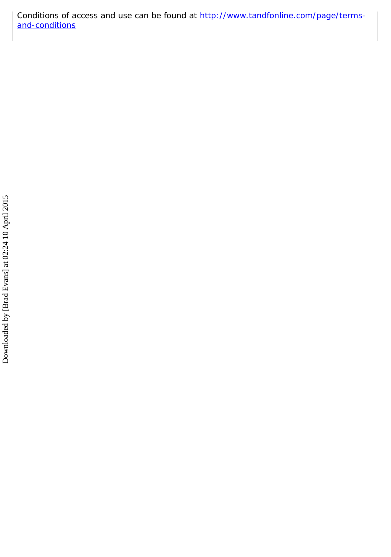Conditions of access and use can be found at [http://www.tandfonline.com/page/terms](http://www.tandfonline.com/page/terms-and-conditions)[and-conditions](http://www.tandfonline.com/page/terms-and-conditions)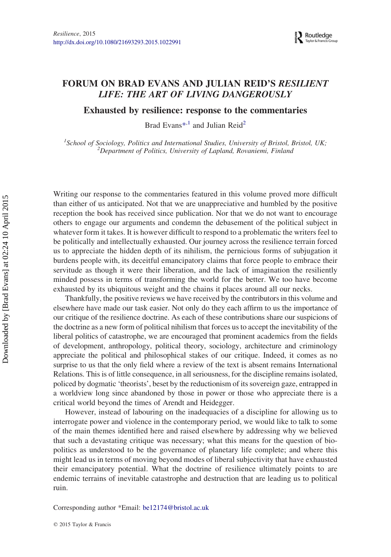### FORUM ON BRAD EVANS AND JULIAN REID'S RESILIENT LIFE: THE ART OF LIVING DANGEROUSLY

Exhausted by resilience: response to the commentaries

Brad Evans\*<sup>,1</sup> and Julian Reid<sup>2</sup>

<sup>1</sup> School of Sociology, Politics and International Studies, University of Bristol, Bristol, UK;<br><sup>2</sup> Department of Politics, University of Lapland, Povaniani, Finland  $^{2}$ Department of Politics, University of Lapland, Rovaniemi, Finland

Writing our response to the commentaries featured in this volume proved more difficult than either of us anticipated. Not that we are unappreciative and humbled by the positive reception the book has received since publication. Nor that we do not want to encourage others to engage our arguments and condemn the debasement of the political subject in whatever form it takes. It is however difficult to respond to a problematic the writers feel to be politically and intellectually exhausted. Our journey across the resilience terrain forced us to appreciate the hidden depth of its nihilism, the pernicious forms of subjugation it burdens people with, its deceitful emancipatory claims that force people to embrace their servitude as though it were their liberation, and the lack of imagination the resiliently minded possess in terms of transforming the world for the better. We too have become exhausted by its ubiquitous weight and the chains it places around all our necks.

Thankfully, the positive reviews we have received by the contributors in this volume and elsewhere have made our task easier. Not only do they each affirm to us the importance of our critique of the resilience doctrine. As each of these contributions share our suspicions of the doctrine as a new form of political nihilism that forces us to accept the inevitability of the liberal politics of catastrophe, we are encouraged that prominent academics from the fields of development, anthropology, political theory, sociology, architecture and criminology appreciate the political and philosophical stakes of our critique. Indeed, it comes as no surprise to us that the only field where a review of the text is absent remains International Relations. This is of little consequence, in all seriousness, for the discipline remains isolated, policed by dogmatic 'theorists', beset by the reductionism of its sovereign gaze, entrapped in a worldview long since abandoned by those in power or those who appreciate there is a critical world beyond the times of Arendt and Heidegger.

However, instead of labouring on the inadequacies of a discipline for allowing us to interrogate power and violence in the contemporary period, we would like to talk to some of the main themes identified here and raised elsewhere by addressing why we believed that such a devastating critique was necessary; what this means for the question of biopolitics as understood to be the governance of planetary life complete; and where this might lead us in terms of moving beyond modes of liberal subjectivity that have exhausted their emancipatory potential. What the doctrine of resilience ultimately points to are endemic terrains of inevitable catastrophe and destruction that are leading us to political ruin.

Corresponding author \*Email: [be12174@bristol.ac.uk](mailto:be12174@bristol.ac.uk)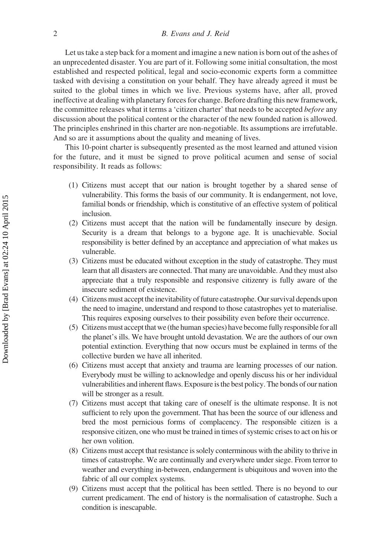Let us take a step back for a moment and imagine a new nation is born out of the ashes of an unprecedented disaster. You are part of it. Following some initial consultation, the most established and respected political, legal and socio-economic experts form a committee tasked with devising a constitution on your behalf. They have already agreed it must be suited to the global times in which we live. Previous systems have, after all, proved ineffective at dealing with planetary forces for change. Before drafting this new framework, the committee releases what it terms a 'citizen charter' that needs to be accepted *before* any discussion about the political content or the character of the new founded nation is allowed. The principles enshrined in this charter are non-negotiable. Its assumptions are irrefutable. And so are it assumptions about the quality and meaning of lives.

This 10-point charter is subsequently presented as the most learned and attuned vision for the future, and it must be signed to prove political acumen and sense of social responsibility. It reads as follows:

- (1) Citizens must accept that our nation is brought together by a shared sense of vulnerability. This forms the basis of our community. It is endangerment, not love, familial bonds or friendship, which is constitutive of an effective system of political inclusion.
- (2) Citizens must accept that the nation will be fundamentally insecure by design. Security is a dream that belongs to a bygone age. It is unachievable. Social responsibility is better defined by an acceptance and appreciation of what makes us vulnerable.
- (3) Citizens must be educated without exception in the study of catastrophe. They must learn that all disasters are connected. That many are unavoidable. And they must also appreciate that a truly responsible and responsive citizenry is fully aware of the insecure sediment of existence.
- (4) Citizens must accept the inevitability of future catastrophe. Our survival depends upon the need to imagine, understand and respond to those catastrophes yet to materialise. This requires exposing ourselves to their possibility even before their occurrence.
- (5) Citizens must acceptthat we (the human species) have become fully responsible for all the planet's ills. We have brought untold devastation. We are the authors of our own potential extinction. Everything that now occurs must be explained in terms of the collective burden we have all inherited.
- (6) Citizens must accept that anxiety and trauma are learning processes of our nation. Everybody must be willing to acknowledge and openly discuss his or her individual vulnerabilities and inherent flaws. Exposure is the best policy. The bonds of our nation will be stronger as a result.
- (7) Citizens must accept that taking care of oneself is the ultimate response. It is not sufficient to rely upon the government. That has been the source of our idleness and bred the most pernicious forms of complacency. The responsible citizen is a responsive citizen, one who must be trained in times of systemic crises to act on his or her own volition.
- (8) Citizens must accept that resistance is solely conterminous with the ability to thrive in times of catastrophe. We are continually and everywhere under siege. From terror to weather and everything in-between, endangerment is ubiquitous and woven into the fabric of all our complex systems.
- (9) Citizens must accept that the political has been settled. There is no beyond to our current predicament. The end of history is the normalisation of catastrophe. Such a condition is inescapable.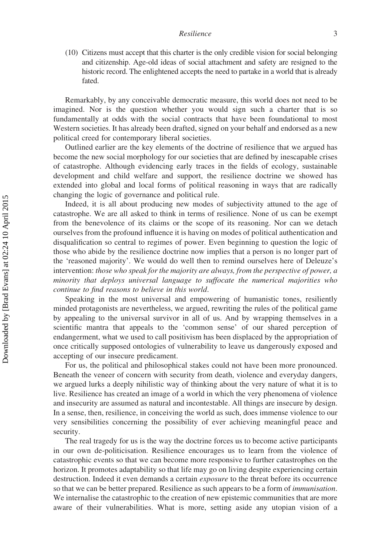(10) Citizens must accept that this charter is the only credible vision for social belonging and citizenship. Age-old ideas of social attachment and safety are resigned to the historic record. The enlightened accepts the need to partake in a world that is already fated.

Remarkably, by any conceivable democratic measure, this world does not need to be imagined. Nor is the question whether you would sign such a charter that is so fundamentally at odds with the social contracts that have been foundational to most Western societies. It has already been drafted, signed on your behalf and endorsed as a new political creed for contemporary liberal societies.

Outlined earlier are the key elements of the doctrine of resilience that we argued has become the new social morphology for our societies that are defined by inescapable crises of catastrophe. Although evidencing early traces in the fields of ecology, sustainable development and child welfare and support, the resilience doctrine we showed has extended into global and local forms of political reasoning in ways that are radically changing the logic of governance and political rule.

Indeed, it is all about producing new modes of subjectivity attuned to the age of catastrophe. We are all asked to think in terms of resilience. None of us can be exempt from the benevolence of its claims or the scope of its reasoning. Nor can we detach ourselves from the profound influence it is having on modes of political authentication and disqualification so central to regimes of power. Even beginning to question the logic of those who abide by the resilience doctrine now implies that a person is no longer part of the 'reasoned majority'. We would do well then to remind ourselves here of Deleuze's intervention: those who speak for the majority are always, from the perspective of power, a minority that deploys universal language to suffocate the numerical majorities who continue to find reasons to believe in this world.

Speaking in the most universal and empowering of humanistic tones, resiliently minded protagonists are nevertheless, we argued, rewriting the rules of the political game by appealing to the universal survivor in all of us. And by wrapping themselves in a scientific mantra that appeals to the 'common sense' of our shared perception of endangerment, what we used to call positivism has been displaced by the appropriation of once critically supposed ontologies of vulnerability to leave us dangerously exposed and accepting of our insecure predicament.

For us, the political and philosophical stakes could not have been more pronounced. Beneath the veneer of concern with security from death, violence and everyday dangers, we argued lurks a deeply nihilistic way of thinking about the very nature of what it is to live. Resilience has created an image of a world in which the very phenomena of violence and insecurity are assumed as natural and incontestable. All things are insecure by design. In a sense, then, resilience, in conceiving the world as such, does immense violence to our very sensibilities concerning the possibility of ever achieving meaningful peace and security.

The real tragedy for us is the way the doctrine forces us to become active participants in our own de-politicisation. Resilience encourages us to learn from the violence of catastrophic events so that we can become more responsive to further catastrophes on the horizon. It promotes adaptability so that life may go on living despite experiencing certain destruction. Indeed it even demands a certain *exposure* to the threat before its occurrence so that we can be better prepared. Resilience as such appears to be a form of immunisation. We internalise the catastrophic to the creation of new epistemic communities that are more aware of their vulnerabilities. What is more, setting aside any utopian vision of a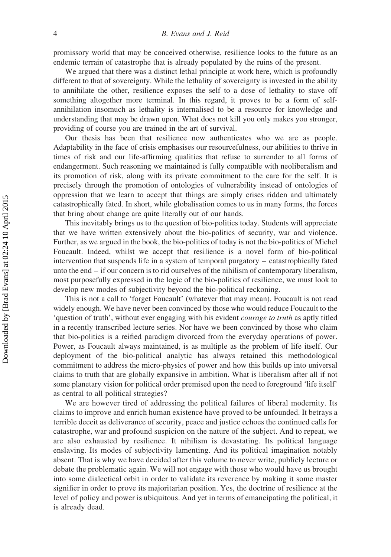promissory world that may be conceived otherwise, resilience looks to the future as an endemic terrain of catastrophe that is already populated by the ruins of the present.

We argued that there was a distinct lethal principle at work here, which is profoundly different to that of sovereignty. While the lethality of sovereignty is invested in the ability to annihilate the other, resilience exposes the self to a dose of lethality to stave off something altogether more terminal. In this regard, it proves to be a form of selfannihilation insomuch as lethality is internalised to be a resource for knowledge and understanding that may be drawn upon. What does not kill you only makes you stronger, providing of course you are trained in the art of survival.

Our thesis has been that resilience now authenticates who we are as people. Adaptability in the face of crisis emphasises our resourcefulness, our abilities to thrive in times of risk and our life-affirming qualities that refuse to surrender to all forms of endangerment. Such reasoning we maintained is fully compatible with neoliberalism and its promotion of risk, along with its private commitment to the care for the self. It is precisely through the promotion of ontologies of vulnerability instead of ontologies of oppression that we learn to accept that things are simply crises ridden and ultimately catastrophically fated. In short, while globalisation comes to us in many forms, the forces that bring about change are quite literally out of our hands.

This inevitably brings us to the question of bio-politics today. Students will appreciate that we have written extensively about the bio-politics of security, war and violence. Further, as we argued in the book, the bio-politics of today is not the bio-politics of Michel Foucault. Indeed, whilst we accept that resilience is a novel form of bio-political intervention that suspends life in a system of temporal purgatory – catastrophically fated unto the end – if our concern is to rid ourselves of the nihilism of contemporary liberalism, most purposefully expressed in the logic of the bio-politics of resilience, we must look to develop new modes of subjectivity beyond the bio-political reckoning.

This is not a call to 'forget Foucault' (whatever that may mean). Foucault is not read widely enough. We have never been convinced by those who would reduce Foucault to the 'question of truth', without ever engaging with his evident courage to truth as aptly titled in a recently transcribed lecture series. Nor have we been convinced by those who claim that bio-politics is a reified paradigm divorced from the everyday operations of power. Power, as Foucault always maintained, is as multiple as the problem of life itself. Our deployment of the bio-political analytic has always retained this methodological commitment to address the micro-physics of power and how this builds up into universal claims to truth that are globally expansive in ambition. What is liberalism after all if not some planetary vision for political order premised upon the need to foreground 'life itself' as central to all political strategies?

We are however tired of addressing the political failures of liberal modernity. Its claims to improve and enrich human existence have proved to be unfounded. It betrays a terrible deceit as deliverance of security, peace and justice echoes the continued calls for catastrophe, war and profound suspicion on the nature of the subject. And to repeat, we are also exhausted by resilience. It nihilism is devastating. Its political language enslaving. Its modes of subjectivity lamenting. And its political imagination notably absent. That is why we have decided after this volume to never write, publicly lecture or debate the problematic again. We will not engage with those who would have us brought into some dialectical orbit in order to validate its reverence by making it some master signifier in order to prove its majoritarian position. Yes, the doctrine of resilience at the level of policy and power is ubiquitous. And yet in terms of emancipating the political, it is already dead.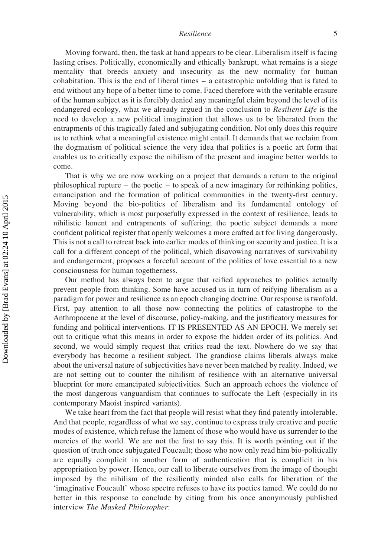#### Resilience 5

Moving forward, then, the task at hand appears to be clear. Liberalism itself is facing lasting crises. Politically, economically and ethically bankrupt, what remains is a siege mentality that breeds anxiety and insecurity as the new normality for human cohabitation. This is the end of liberal times – a catastrophic unfolding that is fated to end without any hope of a better time to come. Faced therefore with the veritable erasure of the human subject as it is forcibly denied any meaningful claim beyond the level of its endangered ecology, what we already argued in the conclusion to Resilient Life is the need to develop a new political imagination that allows us to be liberated from the entrapments of this tragically fated and subjugating condition. Not only does this require us to rethink what a meaningful existence might entail. It demands that we reclaim from the dogmatism of political science the very idea that politics is a poetic art form that enables us to critically expose the nihilism of the present and imagine better worlds to come.

That is why we are now working on a project that demands a return to the original philosophical rupture – the poetic – to speak of a new imaginary for rethinking politics, emancipation and the formation of political communities in the twenty-first century. Moving beyond the bio-politics of liberalism and its fundamental ontology of vulnerability, which is most purposefully expressed in the context of resilience, leads to nihilistic lament and entrapments of suffering; the poetic subject demands a more confident political register that openly welcomes a more crafted art for living dangerously. This is not a call to retreat back into earlier modes of thinking on security and justice. It is a call for a different concept of the political, which disavowing narratives of survivability and endangerment, proposes a forceful account of the politics of love essential to a new consciousness for human togetherness.

Our method has always been to argue that reified approaches to politics actually prevent people from thinking. Some have accused us in turn of reifying liberalism as a paradigm for power and resilience as an epoch changing doctrine. Our response is twofold. First, pay attention to all those now connecting the politics of catastrophe to the Anthropocene at the level of discourse, policy-making, and the justificatory measures for funding and political interventions. IT IS PRESENTED AS AN EPOCH. We merely set out to critique what this means in order to expose the hidden order of its politics. And second, we would simply request that critics read the text. Nowhere do we say that everybody has become a resilient subject. The grandiose claims liberals always make about the universal nature of subjectivities have never been matched by reality. Indeed, we are not setting out to counter the nihilism of resilience with an alternative universal blueprint for more emancipated subjectivities. Such an approach echoes the violence of the most dangerous vanguardism that continues to suffocate the Left (especially in its contemporary Maoist inspired variants).

We take heart from the fact that people will resist what they find patently intolerable. And that people, regardless of what we say, continue to express truly creative and poetic modes of existence, which refuse the lament of those who would have us surrender to the mercies of the world. We are not the first to say this. It is worth pointing out if the question of truth once subjugated Foucault; those who now only read him bio-politically are equally complicit in another form of authentication that is complicit in his appropriation by power. Hence, our call to liberate ourselves from the image of thought imposed by the nihilism of the resiliently minded also calls for liberation of the 'imaginative Foucault' whose spectre refuses to have its poetics tamed. We could do no better in this response to conclude by citing from his once anonymously published interview The Masked Philosopher: